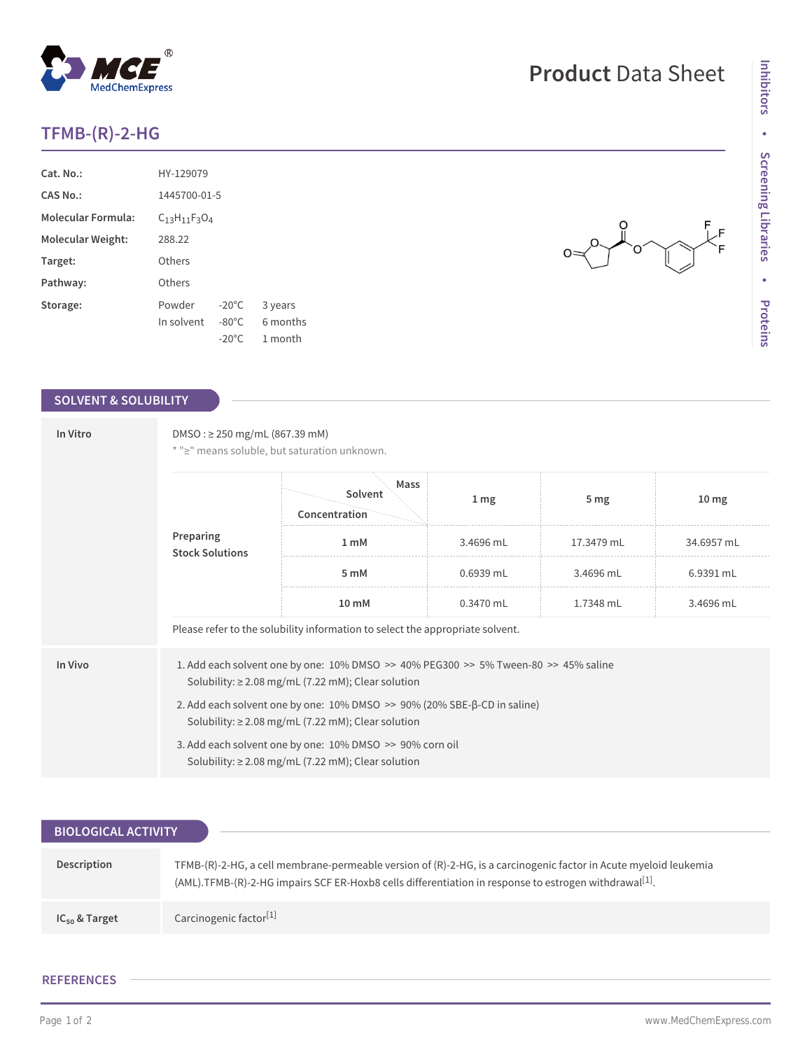## **TFMB-(R)-2-HG**

| Cat. No.                  | HY-129079                |                 |          |  |
|---------------------------|--------------------------|-----------------|----------|--|
| CAS No.                   | 1445700-01-5             |                 |          |  |
| <b>Molecular Formula:</b> | $C_{13}H_{11}F_{3}O_{4}$ |                 |          |  |
| Molecular Weight:         | 288.22                   |                 |          |  |
| Target:                   | Others                   |                 |          |  |
| Pathway:                  | Others                   |                 |          |  |
| Storage:                  | Powder                   | $-20^{\circ}$ C | 3 years  |  |
|                           | In solvent               | $-80^{\circ}$ C | 6 months |  |
|                           |                          | $-20^{\circ}$ C | 1 month  |  |

### **SOLVENT & SOLUBILITY**

| In Vitro | $DMSO: \geq 250$ mg/mL (867.39 mM)<br>* ">" means soluble, but saturation unknown.                                                                |                                  |                 |                 |                  |  |  |
|----------|---------------------------------------------------------------------------------------------------------------------------------------------------|----------------------------------|-----------------|-----------------|------------------|--|--|
|          | Preparing<br><b>Stock Solutions</b>                                                                                                               | Mass<br>Solvent<br>Concentration | 1 <sub>mg</sub> | 5 <sub>mg</sub> | 10 <sub>mg</sub> |  |  |
|          |                                                                                                                                                   | 1 <sub>m</sub> M                 | 3.4696 mL       | 17.3479 mL      | 34.6957 mL       |  |  |
|          |                                                                                                                                                   | 5 mM                             | 0.6939 mL       | 3.4696 mL       | 6.9391 mL        |  |  |
|          |                                                                                                                                                   | $10 \text{ mM}$                  | $0.3470$ mL     | 1.7348 mL       | 3.4696 mL        |  |  |
|          | Please refer to the solubility information to select the appropriate solvent.                                                                     |                                  |                 |                 |                  |  |  |
| In Vivo  | 1. Add each solvent one by one: 10% DMSO >> 40% PEG300 >> 5% Tween-80 >> 45% saline<br>Solubility: $\geq$ 2.08 mg/mL (7.22 mM); Clear solution    |                                  |                 |                 |                  |  |  |
|          | 2. Add each solvent one by one: $10\%$ DMSO $\gg$ 90% (20% SBE- $\beta$ -CD in saline)<br>Solubility: $\geq$ 2.08 mg/mL (7.22 mM); Clear solution |                                  |                 |                 |                  |  |  |
|          | 3. Add each solvent one by one: 10% DMSO >> 90% corn oil<br>Solubility: $\geq$ 2.08 mg/mL (7.22 mM); Clear solution                               |                                  |                 |                 |                  |  |  |

| <b>BIOLOGICAL ACTIVITY</b> |                                                                                                                                                                                                                           |
|----------------------------|---------------------------------------------------------------------------------------------------------------------------------------------------------------------------------------------------------------------------|
| Description                | TFMB-(R)-2-HG, a cell membrane-permeable version of (R)-2-HG, is a carcinogenic factor in Acute myeloid leukemia<br>(AML).TFMB-(R)-2-HG impairs SCF ER-Hoxb8 cells differentiation in response to estrogen withdrawa[[1]. |
| $IC_{50}$ & Target         | Carcinogenic factor <sup>[1]</sup>                                                                                                                                                                                        |

#### **REFERENCES**

# **Product** Data Sheet